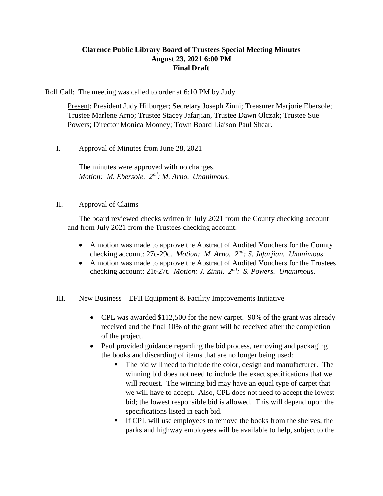## **Clarence Public Library Board of Trustees Special Meeting Minutes August 23, 2021 6:00 PM Final Draft**

Roll Call: The meeting was called to order at 6:10 PM by Judy.

Present: President Judy Hilburger; Secretary Joseph Zinni; Treasurer Marjorie Ebersole; Trustee Marlene Arno; Trustee Stacey Jafarjian, Trustee Dawn Olczak; Trustee Sue Powers; Director Monica Mooney; Town Board Liaison Paul Shear.

I. Approval of Minutes from June 28, 2021

The minutes were approved with no changes. Motion: M. Ebersole. 2<sup>nd</sup>: M. Arno. Unanimous.

## II. Approval of Claims

The board reviewed checks written in July 2021 from the County checking account and from July 2021 from the Trustees checking account.

- A motion was made to approve the Abstract of Audited Vouchers for the County checking account: 27c-29c. *Motion: M. Arno. 2nd: S. Jafarjian. Unanimous.*
- A motion was made to approve the Abstract of Audited Vouchers for the Trustees checking account: 21t-27t. *Motion: J. Zinni.* 2<sup>nd</sup>: S. Powers. Unanimous.
- III. New Business EFII Equipment  $&$  Facility Improvements Initiative
	- CPL was awarded \$112,500 for the new carpet. 90% of the grant was already received and the final 10% of the grant will be received after the completion of the project.
	- Paul provided guidance regarding the bid process, removing and packaging the books and discarding of items that are no longer being used:
		- The bid will need to include the color, design and manufacturer. The winning bid does not need to include the exact specifications that we will request. The winning bid may have an equal type of carpet that we will have to accept. Also, CPL does not need to accept the lowest bid; the lowest responsible bid is allowed. This will depend upon the specifications listed in each bid.
		- If CPL will use employees to remove the books from the shelves, the parks and highway employees will be available to help, subject to the